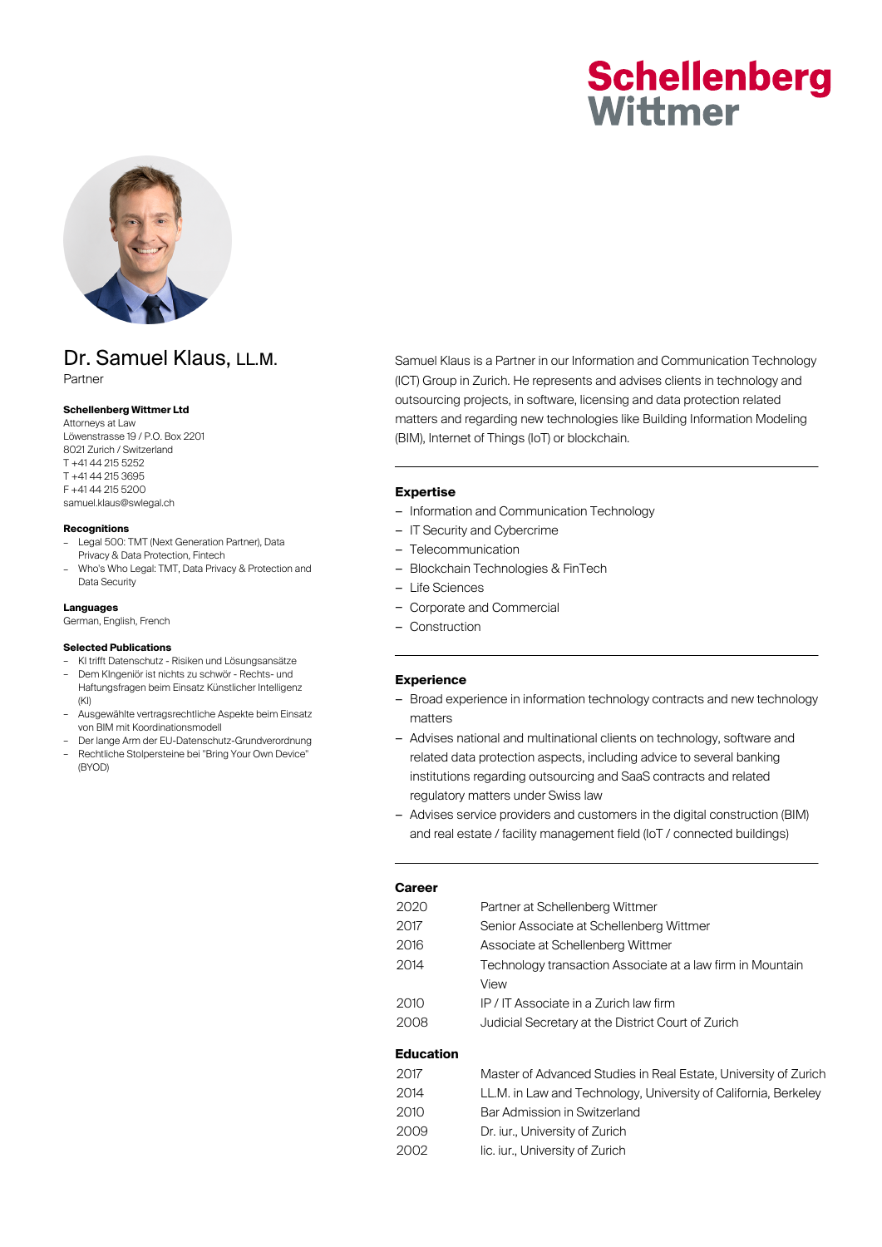# **Schellenberg** Wittmer



# Dr. Samuel Klaus, LL.M.

Partner

#### **Schellenberg Wittmer Ltd**

Attorneys at Law Löwenstrasse 19 / P.O. Box 2201 8021 Zurich / Switzerland T +41 44 215 5252 T +41 44 215 3695 F +41 44 215 5200 samuel.klaus@swlegal.ch

#### **Recognitions**

- Legal 500: TMT (Next Generation Partner), Data Privacy & Data Protection, Fintech
- Who's Who Legal: TMT, Data Privacy & Protection and Data Security

#### **Languages**

German, English, French

#### **Selected Publications**

- KI trifft Datenschutz Risiken und Lösungsansätze
- Dem KIngeniör ist nichts zu schwör Rechts- und Haftungsfragen beim Einsatz Künstlicher Intelligenz  $(KI)$
- Ausgewählte vertragsrechtliche Aspekte beim Einsatz von BIM mit Koordinationsmodell
- Der lange Arm der EU-Datenschutz-Grundverordnung – Rechtliche Stolpersteine bei "Bring Your Own Device" (BYOD)

Samuel Klaus is a Partner in our Information and Communication Technology (ICT) Group in Zurich. He represents and advises clients in technology and outsourcing projects, in software, licensing and data protection related matters and regarding new technologies like Building Information Modeling (BIM), Internet of Things (IoT) or blockchain.

#### **Expertise**

- Information and Communication Technology
- IT Security and Cybercrime
- Telecommunication
- Blockchain Technologies & FinTech
- Life Sciences
- Corporate and Commercial
- Construction

#### **Experience**

- Broad experience in information technology contracts and new technology matters
- Advises national and multinational clients on technology, software and related data protection aspects, including advice to several banking institutions regarding outsourcing and SaaS contracts and related regulatory matters under Swiss law
- Advises service providers and customers in the digital construction (BIM) and real estate / facility management field (IoT / connected buildings)

| 2020 | Partner at Schellenberg Wittmer                            |
|------|------------------------------------------------------------|
| 2017 | Senior Associate at Schellenberg Wittmer                   |
| 2016 | Associate at Schellenberg Wittmer                          |
| 2014 | Technology transaction Associate at a law firm in Mountain |
|      | View                                                       |
| 2010 | IP / IT Associate in a Zurich law firm                     |
| 2008 | Judicial Secretary at the District Court of Zurich         |
|      |                                                            |

### **Education**

| 2017 | Master of Advanced Studies in Real Estate, University of Zurich |
|------|-----------------------------------------------------------------|
| 2014 | LL.M. in Law and Technology, University of California, Berkeley |
| 2010 | Bar Admission in Switzerland                                    |
| 2009 | Dr. jur., University of Zurich                                  |
| 2002 | lic. iur., University of Zurich                                 |